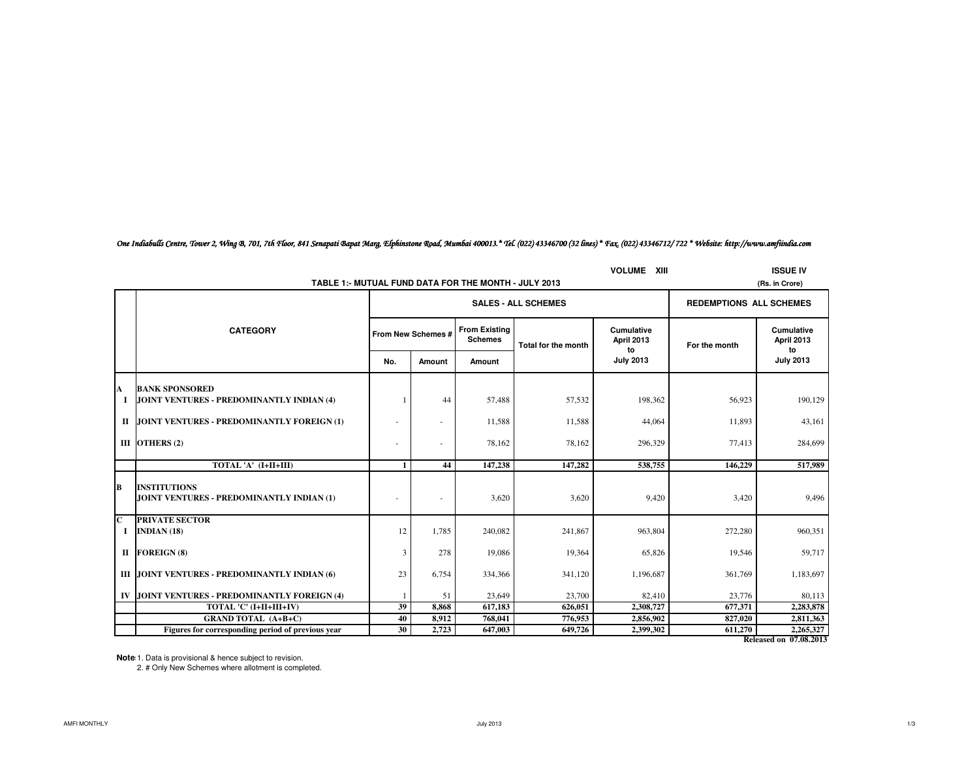| One Indiabulls Centre, Tower 2, Wing B, 701, 7th Floor, 841 Senapati Bapat Marg, Elphinstone Road, Mumbai 400013.* Tel. (022) 43346700 (32 lines) * Fax, (022) 43346712/722 * Website: http://www.amfiindia.com |
|-----------------------------------------------------------------------------------------------------------------------------------------------------------------------------------------------------------------|
|-----------------------------------------------------------------------------------------------------------------------------------------------------------------------------------------------------------------|

|          |                                                                        | <b>VOLUME XIII</b><br><b>ISSUE IV</b> |                                            |         |                            |                                 |                                |                                       |  |  |  |  |
|----------|------------------------------------------------------------------------|---------------------------------------|--------------------------------------------|---------|----------------------------|---------------------------------|--------------------------------|---------------------------------------|--|--|--|--|
|          | TABLE 1:- MUTUAL FUND DATA FOR THE MONTH - JULY 2013<br>(Rs. in Crore) |                                       |                                            |         |                            |                                 |                                |                                       |  |  |  |  |
|          |                                                                        |                                       |                                            |         | <b>SALES - ALL SCHEMES</b> |                                 | <b>REDEMPTIONS ALL SCHEMES</b> |                                       |  |  |  |  |
|          | <b>CATEGORY</b>                                                        |                                       | <b>From Existing</b><br>From New Schemes # |         | Total for the month        | <b>Cumulative</b><br>April 2013 | For the month                  | <b>Cumulative</b><br>April 2013<br>to |  |  |  |  |
|          |                                                                        | No.                                   | Amount                                     | Amount  |                            | to<br><b>July 2013</b>          |                                | <b>July 2013</b>                      |  |  |  |  |
| A        | <b>BANK SPONSORED</b>                                                  |                                       |                                            |         |                            |                                 |                                |                                       |  |  |  |  |
| <b>I</b> | JOINT VENTURES - PREDOMINANTLY INDIAN (4)                              |                                       | 44                                         | 57,488  | 57,532                     | 198,362                         | 56,923                         | 190,129                               |  |  |  |  |
| Н        | JOINT VENTURES - PREDOMINANTLY FOREIGN (1)                             |                                       | ä,                                         | 11,588  | 11,588                     | 44,064                          | 11,893                         | 43,161                                |  |  |  |  |
|          | III OTHERS (2)                                                         |                                       | ä,                                         | 78,162  | 78,162                     | 296,329                         | 77,413                         | 284,699                               |  |  |  |  |
|          | TOTAL 'A' (I+II+III)                                                   | 1                                     | 44                                         | 147,238 | 147,282                    | 538,755                         | 146,229                        | 517,989                               |  |  |  |  |
| B        | <b>INSTITUTIONS</b><br>JOINT VENTURES - PREDOMINANTLY INDIAN (1)       |                                       | $\sim$                                     | 3,620   | 3,620                      | 9,420                           | 3,420                          | 9,496                                 |  |  |  |  |
| C<br>- 1 | <b>PRIVATE SECTOR</b><br>INDIAN $(18)$                                 | 12                                    | 1,785                                      | 240,082 | 241,867                    | 963,804                         | 272,280                        | 960,351                               |  |  |  |  |
| П        | <b>FOREIGN (8)</b>                                                     | 3                                     | 278                                        | 19,086  | 19,364                     | 65,826                          | 19,546                         | 59,717                                |  |  |  |  |
|          | III JOINT VENTURES - PREDOMINANTLY INDIAN (6)                          | 23                                    | 6,754                                      | 334,366 | 341,120                    | 1,196,687                       | 361,769                        | 1,183,697                             |  |  |  |  |
| IV       | JOINT VENTURES - PREDOMINANTLY FOREIGN (4)                             |                                       | 51                                         | 23,649  | 23,700                     | 82,410                          | 23,776                         | 80,113                                |  |  |  |  |
|          | TOTAL 'C' (I+II+III+IV)                                                | 39                                    | 8.868                                      | 617,183 | 626.051                    | 2,308,727                       | 677,371                        | 2,283,878                             |  |  |  |  |
|          | <b>GRAND TOTAL (A+B+C)</b>                                             | 40                                    | 8,912                                      | 768,041 | 776,953                    | 2,856,902                       | 827,020                        | 2,811,363                             |  |  |  |  |
|          | Figures for corresponding period of previous year                      | 30                                    | 2.723                                      | 647,003 | 649.726                    | 2.399.302                       | 611.270                        | 2,265,327                             |  |  |  |  |

**Released on 07.08.2013**

**Notes:**1. Data is provisional & hence subject to revision. 2. # Only New Schemes where allotment is completed.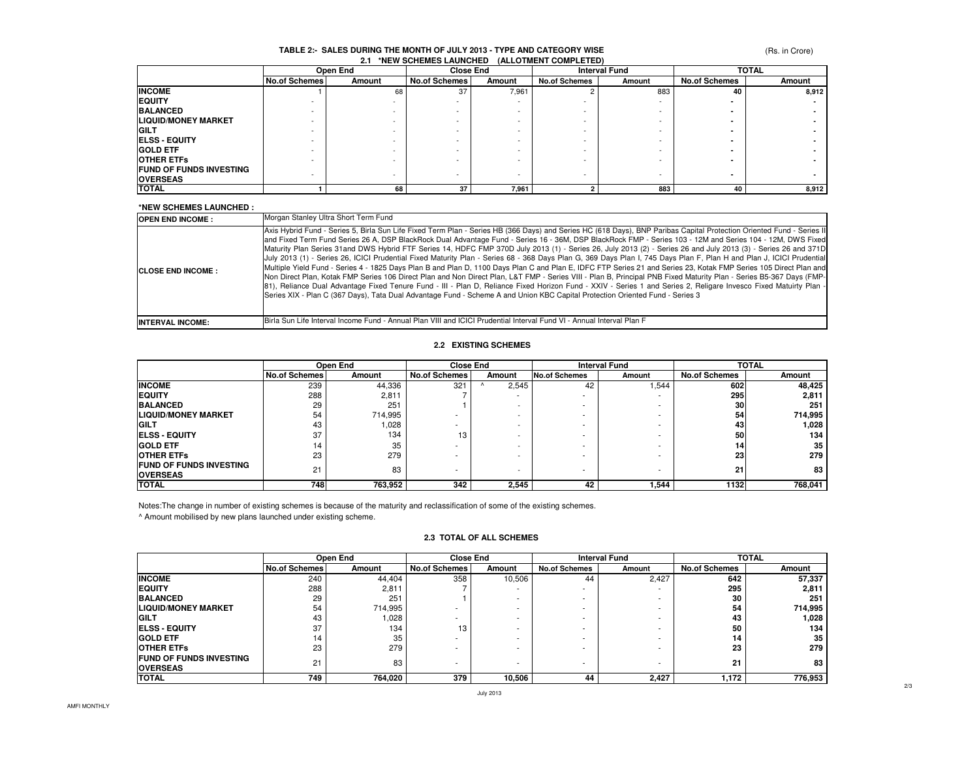# **TABLE 2:- SALES DURING THE MONTH OF JULY 2013 - TYPE AND CATEGORY WISE 2.1 \*NEW SCHEMES LAUNCHED (ALLOTMENT COMPLETED)**

(Rs. in Crore)

|                                | Open End             |        | <b>Close End</b>         |        | <b>Interval Fund</b> |        | <b>TOTAL</b>         |        |
|--------------------------------|----------------------|--------|--------------------------|--------|----------------------|--------|----------------------|--------|
|                                | <b>No.of Schemes</b> | Amount | <b>No.of Schemes</b>     | Amount | <b>No.of Schemes</b> | Amount | <b>No.of Schemes</b> | Amount |
| <b>INCOME</b>                  |                      | 68     | 37                       | 7,961  |                      | 883    | 40                   | 8,912  |
| <b>EQUITY</b>                  |                      |        |                          |        |                      |        |                      |        |
| <b>BALANCED</b>                |                      |        | -                        |        |                      |        |                      |        |
| <b>LIQUID/MONEY MARKET</b>     |                      |        |                          |        |                      |        |                      |        |
| <b>GILT</b>                    |                      |        |                          |        |                      |        |                      |        |
| <b>ELSS - EQUITY</b>           |                      |        | -                        |        | -                    |        |                      |        |
| <b>GOLD ETF</b>                |                      |        | $\overline{\phantom{a}}$ |        |                      |        |                      |        |
| <b>OTHER ETFS</b>              |                      |        | -                        |        |                      |        |                      |        |
| <b>FUND OF FUNDS INVESTING</b> |                      |        |                          |        | -                    |        |                      |        |
| <b>OVERSEAS</b>                |                      |        |                          |        |                      |        |                      |        |
| <b>TOTAL</b>                   |                      | 68     | 37                       | 7,961  |                      | 883    | 40                   | 8,912  |

#### **\*NEW SCHEMES LAUNCHED :**

| <b>OPEN END INCOME:</b>    | Morgan Stanley Ultra Short Term Fund                                                                                                                                                                                                                                                                                                                                                                                                                                                                                                                                                                                                                                                                                                                                                                                                                                                                                                                                                                                                                                                                                                                                                                                                                                                                                              |
|----------------------------|-----------------------------------------------------------------------------------------------------------------------------------------------------------------------------------------------------------------------------------------------------------------------------------------------------------------------------------------------------------------------------------------------------------------------------------------------------------------------------------------------------------------------------------------------------------------------------------------------------------------------------------------------------------------------------------------------------------------------------------------------------------------------------------------------------------------------------------------------------------------------------------------------------------------------------------------------------------------------------------------------------------------------------------------------------------------------------------------------------------------------------------------------------------------------------------------------------------------------------------------------------------------------------------------------------------------------------------|
| <b>ICLOSE END INCOME :</b> | Axis Hybrid Fund - Series 5, Birla Sun Life Fixed Term Plan - Series HB (366 Days) and Series HC (618 Days), BNP Paribas Capital Protection Oriented Fund - Series II<br>and Fixed Term Fund Series 26 A, DSP BlackRock Dual Advantage Fund - Series 16 - 36M, DSP BlackRock FMP - Series 103 - 12M and Series 104 - 12M, DWS Fixed<br>Maturity Plan Series 31 and DWS Hybrid FTF Series 14, HDFC FMP 370D July 2013 (1) - Series 26, July 2013 (2) - Series 26 and July 2013 (3) - Series 26 and 371D<br>July 2013 (1) - Series 26, ICICI Prudential Fixed Maturity Plan - Series 68 - 368 Days Plan G, 369 Days Plan I, 745 Days Plan F, Plan H and Plan J, ICICI Prudential<br>Multiple Yield Fund - Series 4 - 1825 Days Plan B and Plan D, 1100 Days Plan C and Plan E, IDFC FTP Series 21 and Series 23, Kotak FMP Series 105 Direct Plan and<br>Non Direct Plan, Kotak FMP Series 106 Direct Plan and Non Direct Plan, L&T FMP - Series VIII - Plan B, Principal PNB Fixed Maturity Plan - Series B5-367 Days (FMP-<br>[81], Reliance Dual Advantage Fixed Tenure Fund - III - Plan D, Reliance Fixed Horizon Fund - XXIV - Series 1 and Series 2, Religare Invesco Fixed Matuirty Plan -<br>Series XIX - Plan C (367 Days), Tata Dual Advantage Fund - Scheme A and Union KBC Capital Protection Oriented Fund - Series 3 |
| <b>INTERVAL INCOME:</b>    | IBirla Sun Life Interval Income Fund - Annual Plan VIII and ICICI Prudential Interval Fund VI - Annual Interval Plan F                                                                                                                                                                                                                                                                                                                                                                                                                                                                                                                                                                                                                                                                                                                                                                                                                                                                                                                                                                                                                                                                                                                                                                                                            |

#### **2.2 EXISTING SCHEMES**

|                                 | Open End             |         |                      | <b>Close End</b>         |               | <b>Interval Fund</b> |                      | <b>TOTAL</b> |  |
|---------------------------------|----------------------|---------|----------------------|--------------------------|---------------|----------------------|----------------------|--------------|--|
|                                 | <b>No.of Schemes</b> | Amount  | <b>No.of Schemes</b> | Amount                   | No.of Schemes | Amount               | <b>No.of Schemes</b> | Amount       |  |
| <b>INCOME</b>                   | 239                  | 44.336  | 321                  | 2,545                    | 42            | .544                 | 602                  | 48,425       |  |
| <b>EQUITY</b>                   | 288                  | 2,811   |                      |                          | ۰             |                      | 295                  | 2,811        |  |
| <b>BALANCED</b>                 | 29                   | 251     |                      | $\overline{\phantom{0}}$ | ۰             |                      | 30                   | 251          |  |
| <b>ILIQUID/MONEY MARKET</b>     | 54                   | 714,995 |                      | $\overline{\phantom{0}}$ | ۰             |                      | 54                   | 714,995      |  |
| <b>IGILT</b>                    | 43                   | 028، ا  |                      | $\sim$                   | ۰             |                      | 43                   | 1,028        |  |
| <b>IELSS - EQUITY</b>           | 37                   | 134     | 13                   | $\sim$                   | ۰             |                      | 50                   | 134          |  |
| <b>GOLD ETF</b>                 | 14                   | 35      | ۰                    | $\overline{\phantom{0}}$ | -             |                      | 14                   | 35           |  |
| <b>OTHER ETFS</b>               | 23                   | 279     |                      |                          | ۰             |                      | 23                   | 279          |  |
| <b>IFUND OF FUNDS INVESTING</b> | 21                   | 83      |                      | $\overline{\phantom{0}}$ |               |                      | 21                   | 83           |  |
| <b>OVERSEAS</b>                 |                      |         |                      |                          |               |                      |                      |              |  |
| <b>TOTAL</b>                    | 748                  | 763,952 | 342                  | 2,545                    | 42            | 1,544                | 1132                 | 768,041      |  |

Notes:The change in number of existing schemes is because of the maturity and reclassification of some of the existing schemes.

^ Amount mobilised by new plans launched under existing scheme.

#### **2.3 TOTAL OF ALL SCHEMES**

|                                                   | Open End             |         |                      | <b>Close End</b> |                      | <b>Interval Fund</b> |                      | <b>TOTAL</b> |
|---------------------------------------------------|----------------------|---------|----------------------|------------------|----------------------|----------------------|----------------------|--------------|
|                                                   | <b>No.of Schemes</b> | Amount  | <b>No.of Schemes</b> | Amount           | <b>No.of Schemes</b> | Amount               | <b>No.of Schemes</b> | Amount       |
| <b>INCOME</b>                                     | 240                  | 44.404  | 358                  | 10,506           | 44                   | 2,427                | 642                  | 57.337       |
| <b>EQUITY</b>                                     | 288                  | 2,811   |                      |                  |                      |                      | 295                  | 2,811        |
| <b>BALANCED</b>                                   | 29                   | 251     |                      |                  |                      |                      | 30                   | 251          |
| <b>ILIQUID/MONEY MARKET</b>                       | 54                   | 714,995 |                      |                  |                      |                      | 54                   | 714,995      |
| <b>GILT</b>                                       | 43                   | 1,028   |                      |                  |                      |                      | 43                   | 1,028        |
| <b>IELSS - EQUITY</b>                             | 37                   | 134     | 13                   |                  |                      |                      | 50                   | 134          |
| <b>GOLD ETF</b>                                   | 14                   | 35      |                      |                  |                      |                      | 14                   | 35           |
| <b>OTHER ETFS</b>                                 | 23                   | 279     |                      |                  |                      |                      | 23                   | 279          |
| <b>FUND OF FUNDS INVESTING</b><br><b>OVERSEAS</b> | 21                   | 83      |                      | ۰                |                      |                      | 21                   | 83           |
| <b>TOTAL</b>                                      | 749                  | 764,020 | 379                  | 10,506           | 44                   | 2,427                | 1,172                | 776,953      |